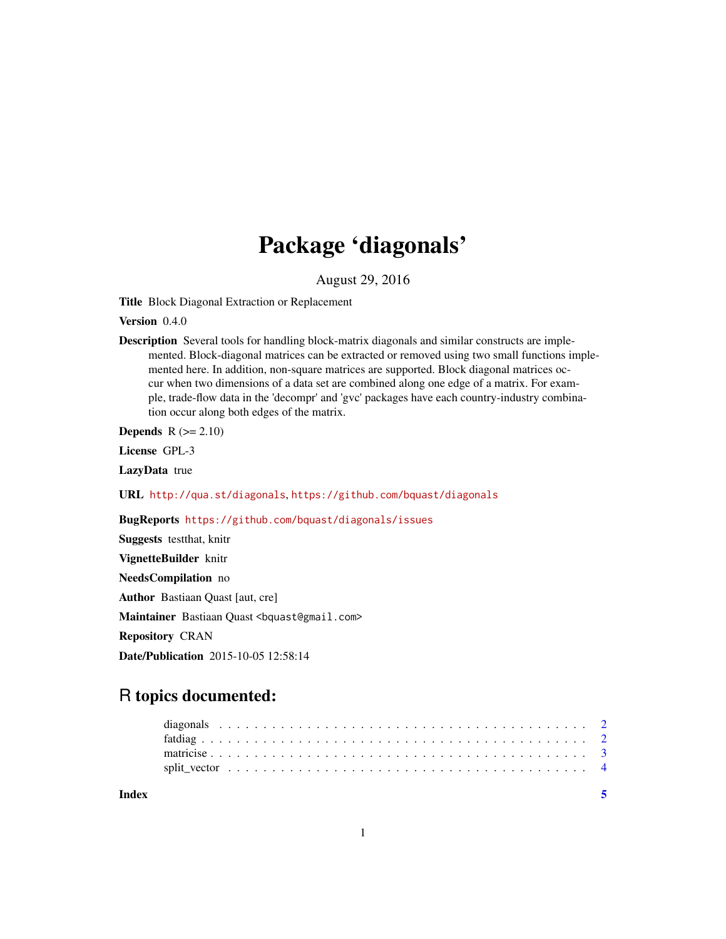## Package 'diagonals'

August 29, 2016

Title Block Diagonal Extraction or Replacement

Version 0.4.0

Description Several tools for handling block-matrix diagonals and similar constructs are implemented. Block-diagonal matrices can be extracted or removed using two small functions implemented here. In addition, non-square matrices are supported. Block diagonal matrices occur when two dimensions of a data set are combined along one edge of a matrix. For example, trade-flow data in the 'decompr' and 'gvc' packages have each country-industry combination occur along both edges of the matrix.

Depends  $R (= 2.10)$ 

License GPL-3

LazyData true

URL <http://qua.st/diagonals>, <https://github.com/bquast/diagonals>

BugReports <https://github.com/bquast/diagonals/issues>

Suggests testthat, knitr VignetteBuilder knitr NeedsCompilation no Author Bastiaan Quast [aut, cre] Maintainer Bastiaan Quast <br/>bquast@gmail.com> Repository CRAN Date/Publication 2015-10-05 12:58:14

### R topics documented:

| Index |  |  |  |  |  |  |  |  |  |  |  |  |  |  |  |  |  |  |  |  |  |
|-------|--|--|--|--|--|--|--|--|--|--|--|--|--|--|--|--|--|--|--|--|--|
|       |  |  |  |  |  |  |  |  |  |  |  |  |  |  |  |  |  |  |  |  |  |
|       |  |  |  |  |  |  |  |  |  |  |  |  |  |  |  |  |  |  |  |  |  |
|       |  |  |  |  |  |  |  |  |  |  |  |  |  |  |  |  |  |  |  |  |  |
|       |  |  |  |  |  |  |  |  |  |  |  |  |  |  |  |  |  |  |  |  |  |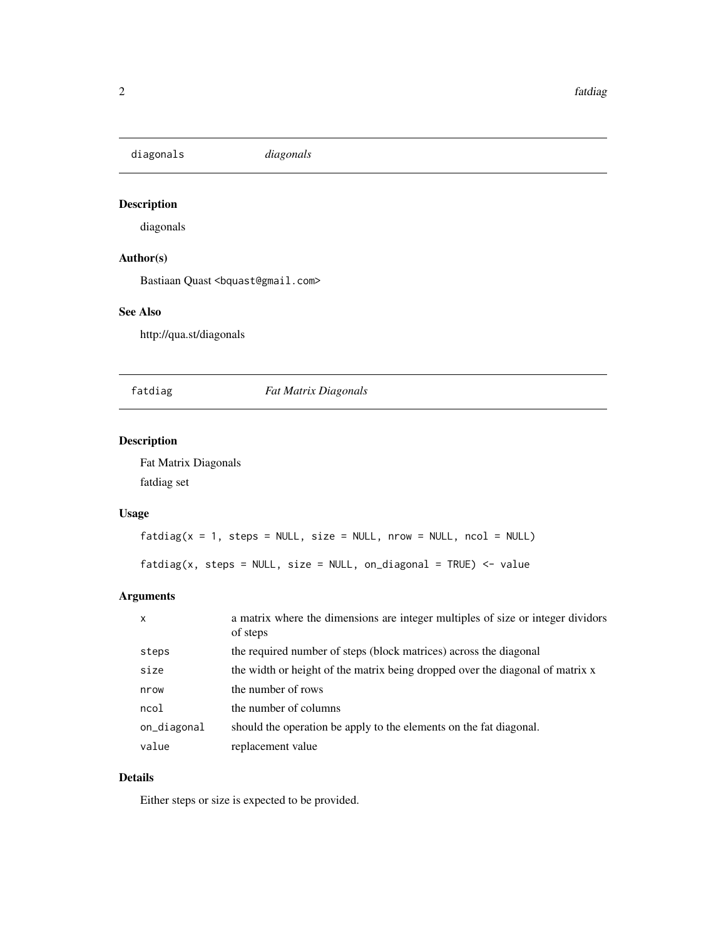<span id="page-1-0"></span>diagonals *diagonals*

#### Description

diagonals

#### Author(s)

Bastiaan Quast <br/>bquast@gmail.com>

#### See Also

http://qua.st/diagonals

#### fatdiag *Fat Matrix Diagonals*

#### Description

Fat Matrix Diagonals fatdiag set

#### Usage

```
fatalog(x = 1, steps = NULL, size = NULL, nrow = NULL, ncol = NULL)
```
 $fatalog(x, steps = NULL, size = NULL, on\_diagonal = TRUE)$  <- value

#### Arguments

| x           | a matrix where the dimensions are integer multiples of size or integer dividors<br>of steps |
|-------------|---------------------------------------------------------------------------------------------|
| steps       | the required number of steps (block matrices) across the diagonal                           |
| size        | the width or height of the matrix being dropped over the diagonal of matrix x               |
| nrow        | the number of rows                                                                          |
| ncol        | the number of columns                                                                       |
| on_diagonal | should the operation be apply to the elements on the fat diagonal.                          |
| value       | replacement value                                                                           |

#### Details

Either steps or size is expected to be provided.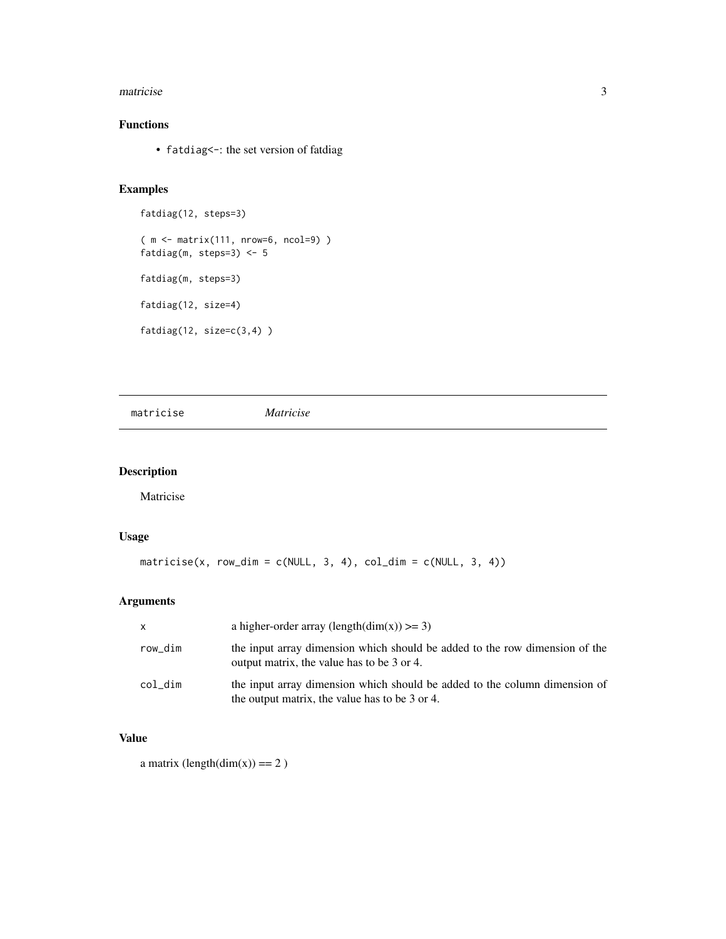#### <span id="page-2-0"></span>matricise 3

#### Functions

• fatdiag<-: the set version of fatdiag

#### Examples

```
fatdiag(12, steps=3)
( m <- matrix(111, nrow=6, ncol=9) )
fatdiag(m, steps=3) <- 5
fatdiag(m, steps=3)
fatdiag(12, size=4)
fatdiag(12, size=c(3,4) )
```
matricise *Matricise*

#### Description

Matricise

#### Usage

```
matricise(x, row_dim = c(NULL, 3, 4), col_dim = c(NULL, 3, 4))
```
#### Arguments

| $\mathsf{X}$ | a higher-order array (length(dim(x)) $>= 3$ )                                                                                |
|--------------|------------------------------------------------------------------------------------------------------------------------------|
| row dim      | the input array dimension which should be added to the row dimension of the<br>output matrix, the value has to be 3 or 4.    |
| col_dim      | the input array dimension which should be added to the column dimension of<br>the output matrix, the value has to be 3 or 4. |

#### Value

a matrix  $\text{(length(dim(x))} == 2$ )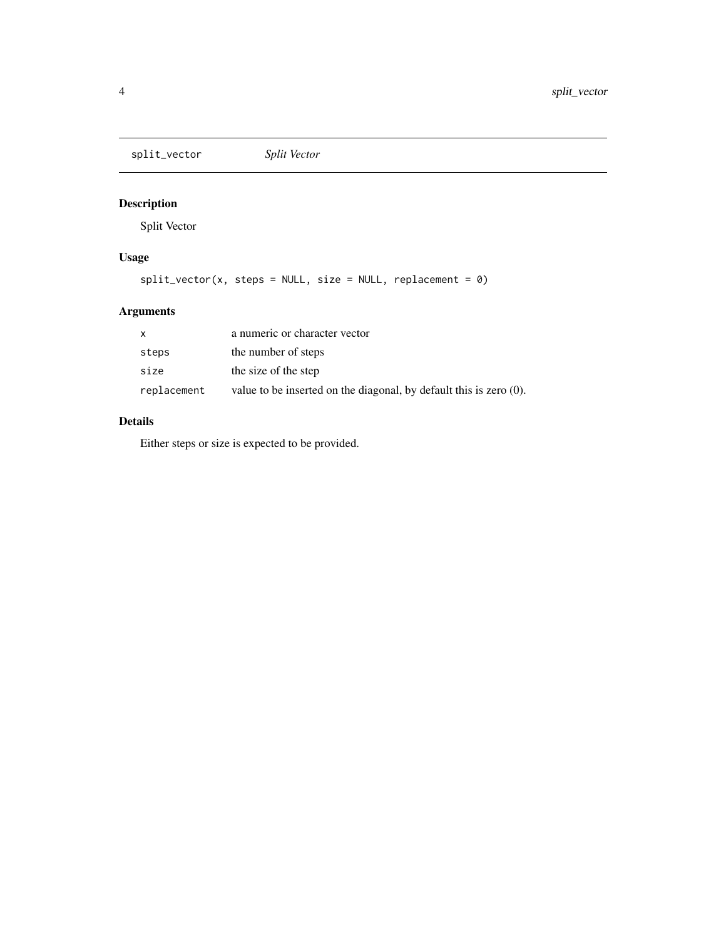<span id="page-3-0"></span>split\_vector *Split Vector*

#### Description

Split Vector

#### Usage

 $split\_vector(x, steps = NULL, size = NULL, replacement = 0)$ 

#### Arguments

| x           | a numeric or character vector                                         |
|-------------|-----------------------------------------------------------------------|
| steps       | the number of steps                                                   |
| size        | the size of the step                                                  |
| replacement | value to be inserted on the diagonal, by default this is zero $(0)$ . |

#### Details

Either steps or size is expected to be provided.